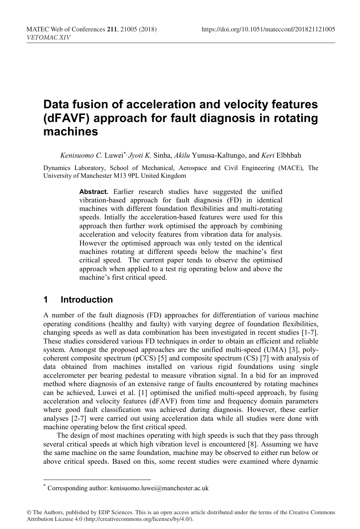# **Data fusion of acceleration and velocity features (dFAVF) approach for fault diagnosis in rotating machines**

*Kenisuomo C.* Luwei\*, *Jyoti K.* Sinha, *Akilu* Yunusa-Kaltungo, and *Keri* Elbhbah

Dynamics Laboratory, School of Mechanical, Aerospace and Civil Engineering (MACE), The University of Manchester M13 9PL United Kingdom

> **Abstract.** Earlier research studies have suggested the unified vibration-based approach for fault diagnosis (FD) in identical machines with different foundation flexibilities and multi-rotating speeds. Intially the acceleration-based features were used for this approach then further work optimised the approach by combining acceleration and velocity features from vibration data for analysis. However the optimised approach was only tested on the identical machines rotating at different speeds below the machine's first critical speed. The current paper tends to observe the optimised approach when applied to a test rig operating below and above the machine's first critical speed.

### **1 Introduction**

-

A number of the fault diagnosis (FD) approaches for differentiation of various machine operating conditions (healthy and faulty) with varying degree of foundation flexibilities, changing speeds as well as data combination has been investigated in recent studies [1-7]. These studies considered various FD techniques in order to obtain an efficient and reliable system. Amongst the proposed approaches are the unified multi-speed (UMA) [3], polycoherent composite spectrum (pCCS) [5] and composite spectrum (CS) [7] with analysis of data obtained from machines installed on various rigid foundations using single accelerometer per bearing pedestal to measure vibration signal. In a bid for an improved method where diagnosis of an extensive range of faults encountered by rotating machines can be achieved, Luwei et al. [1] optimised the unified multi-speed approach, by fusing acceleration and velocity features (dFAVF) from time and frequency domain parameters where good fault classification was achieved during diagnosis. However, these earlier analyses [2-7] were carried out using acceleration data while all studies were done with machine operating below the first critical speed.

The design of most machines operating with high speeds is such that they pass through several critical speeds at which high vibration level is encountered [8]. Assuming we have the same machine on the same foundation, machine may be observed to either run below or above critical speeds. Based on this, some recent studies were examined where dynamic

<sup>\*</sup> Corresponding author: kenisuomo.luwei@manchester.ac.uk

<sup>©</sup> The Authors, published by EDP Sciences. This is an open access article distributed under the terms of the Creative Commons Attribution License 4.0 (http://creativecommons.org/licenses/by/4.0/).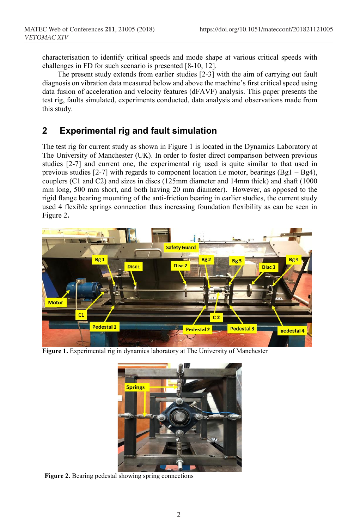characterisation to identify critical speeds and mode shape at various critical speeds with challenges in FD for such scenario is presented [8-10, 12].

 The present study extends from earlier studies [2-3] with the aim of carrying out fault diagnosis on vibration data measured below and above the machine's first critical speed using data fusion of acceleration and velocity features (dFAVF) analysis. This paper presents the test rig, faults simulated, experiments conducted, data analysis and observations made from this study.

# **2 Experimental rig and fault simulation**

The test rig for current study as shown in Figure 1 is located in the Dynamics Laboratory at The University of Manchester (UK). In order to foster direct comparison between previous studies [2-7] and current one, the experimental rig used is quite similar to that used in previous studies [2-7] with regards to component location i.e motor, bearings (Bg1 – Bg4), couplers (C1 and C2) and sizes in discs (125mm diameter and 14mm thick) and shaft (1000 mm long, 500 mm short, and both having 20 mm diameter). However, as opposed to the rigid flange bearing mounting of the anti-friction bearing in earlier studies, the current study used 4 flexible springs connection thus increasing foundation flexibility as can be seen in Figure 2**.** 



**Figure 1.** Experimental rig in dynamics laboratory at The University of Manchester



**Figure 2.** Bearing pedestal showing spring connections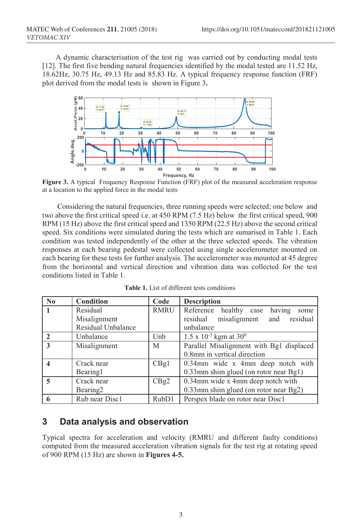A dynamic characterisation of the test rig was carried out by conducting modal tests [12]. The first five bending natural frequencies identified by the modal tested are 11.52 Hz, 18.62Hz, 30.75 Hz, 49.13 Hz and 85.83 Hz. A typical frequency response function (FRF) plot derived from the modal tests is shown in Figure 3**.**



Figure 3. A typical Frequency Response Function (FRF) plot of the measured acceleration response at a location to the applied force in the modal tests

 Considering the natural frequencies, three running speeds were selected; one below and two above the first critical speed i.e. at 450 RPM (7.5 Hz) below the first critical speed, 900 RPM (15 Hz) above the first critical speed and 1350 RPM (22.5 Hz) above the second critical speed. Six conditions were simulated during the tests which are sumarised in Table 1. Each condition was tested independently of the other at the three selected speeds. The vibration responses at each bearing pedestal were collected using single accelerometer mounted on each bearing for these tests for further analysis. The accelerometer was mounted at 45 degree from the horizontal and vertical direction and vibration data was collected for the test conditions listed in Table 1.

| $\bf No$     | Condition            | Code  | <b>Description</b>                       |
|--------------|----------------------|-------|------------------------------------------|
|              | Residual             | RMRU  | Reference healthy case having<br>some    |
|              | Misalignment         |       | misalignment and residual<br>residual    |
|              | Residual Unbalance   |       | unbalance                                |
|              | Unbalance            | Unb   | $1.5 \times 10^{-3}$ kgm at $30^{0}$     |
| $\mathbf{3}$ | Misalignment         | M     | Parallel Misalignment with Bg1 displaced |
|              |                      |       | 0.8mm in vertical direction              |
|              | Crack near           | CBg1  | 0.34mm wide x 4mm deep notch with        |
|              | Bearing1             |       | 0.33mm shim glued (on rotor near Bg1)    |
|              | Crack near           | CBg2  | 0.34mm wide x 4mm deep notch with        |
|              | Bearing <sub>2</sub> |       | 0.33mm shim glued (on rotor near Bg2)    |
|              | Rub near Disc1       | RubD1 | Perspex blade on rotor near Disc1        |

**Table 1.** List of different tests conditions

## **3 Data analysis and observation**

Typical spectra for acceleration and velocity (RMRU and different faulty conditions) computed from the measured acceleration vibration signals for the test rig at rotating speed of 900 RPM (15 Hz) are shown in **Figures 4-5.**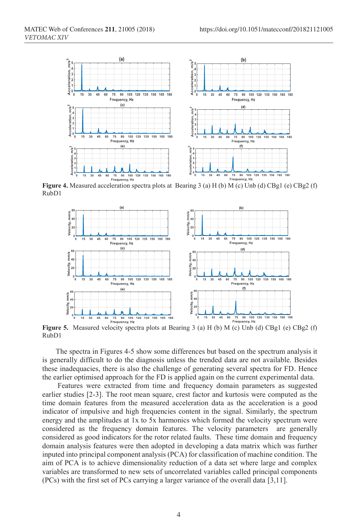

**Figure 4.** Measured acceleration spectra plots at Bearing 3 (a) H (b) M (c) Unb (d) CBg1 (e) CBg2 (f) RubD1



**Figure 5.** Measured velocity spectra plots at Bearing 3 (a) H (b) M (c) Unb (d) CBg1 (e) CBg2 (f) RubD1

The spectra in Figures 4-5 show some differences but based on the spectrum analysis it is generally difficult to do the diagnosis unless the trended data are not available. Besides these inadequacies, there is also the challenge of generating several spectra for FD. Hence the earlier optimised approach for the FD is applied again on the current experimental data.

 Features were extracted from time and frequency domain parameters as suggested earlier studies [2-3]. The root mean square, crest factor and kurtosis were computed as the time domain features from the measured acceleration data as the acceleration is a good indicator of impulsive and high frequencies content in the signal. Similarly, the spectrum energy and the amplitudes at 1x to 5x harmonics which formed the velocity spectrum were considered as the frequency domain features. The velocity parameters are generally considered as good indicators for the rotor related faults. These time domain and frequency domain analysis features were then adopted in developing a data matrix which was further inputed into principal component analysis (PCA) for classification of machine condition. The aim of PCA is to achieve dimensionality reduction of a data set where large and complex variables are transformed to new sets of uncorrelated variables called principal components (PCs) with the first set of PCs carrying a larger variance of the overall data [3,11].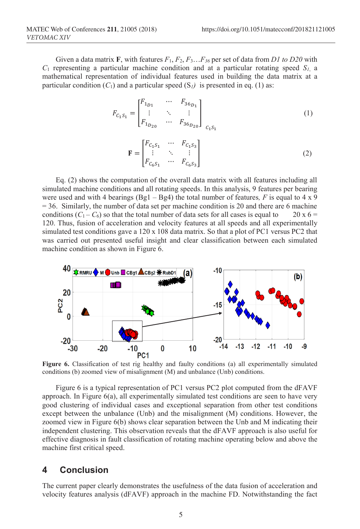Given a data matrix **F**, with features *F*1, *F*2, *F*3…*F36* per set of data from *D1 to D20* with  $C_1$  representing a particular machine condition and at a particular rotating speed  $S_l$ , a mathematical representation of individual features used in building the data matrix at a particular condition  $(C_1)$  and a particular speed  $(S_i)$  is presented in eq. (1) as:

$$
F_{C_1S_1} = \begin{bmatrix} F_{1_{D1}} & \cdots & F_{36_{D_1}} \\ \vdots & \ddots & \vdots \\ F_{1_{D_{20}}} & \cdots & F_{36_{D_{20}}} \end{bmatrix}_{C_1S_1}
$$
 (1)

$$
\mathbf{F} = \begin{bmatrix} F_{C_1 S_1} & \cdots & F_{C_1 S_3} \\ \vdots & \ddots & \vdots \\ F_{C_6 S_1} & \cdots & F_{C_6 S_3} \end{bmatrix}
$$
 (2)

Eq. (2) shows the computation of the overall data matrix with all features including all simulated machine conditions and all rotating speeds. In this analysis, 9 features per bearing were used and with 4 bearings  $(Bg1 - Bg4)$  the total number of features, F is equal to 4 x 9  $= 36$ . Similarly, the number of data set per machine condition is 20 and there are 6 machine conditions  $(C_1 - C_6)$  so that the total number of data sets for all cases is equal to 20 x 6 = 120. Thus, fusion of acceleration and velocity features at all speeds and all experimentally simulated test conditions gave a 120 x 108 data matrix. So that a plot of PC1 versus PC2 that was carried out presented useful insight and clear classification between each simulated machine condition as shown in Figure 6.



**Figure 6.** Classification of test rig healthy and faulty conditions (a) all experimentally simulated conditions (b) zoomed view of misalignment (M) and unbalance (Unb) conditions.

Figure 6 is a typical representation of PC1 versus PC2 plot computed from the dFAVF approach. In Figure 6(a), all experimentally simulated test conditions are seen to have very good clustering of individual cases and exceptional separation from other test conditions except between the unbalance (Unb) and the misalignment (M) conditions. However, the zoomed view in Figure 6(b) shows clear separation between the Unb and M indicating their independent clustering. This observation reveals that the dFAVF approach is also useful for effective diagnosis in fault classification of rotating machine operating below and above the machine first critical speed.

#### **4 Conclusion**

The current paper clearly demonstrates the usefulness of the data fusion of acceleration and velocity features analysis (dFAVF) approach in the machine FD. Notwithstanding the fact